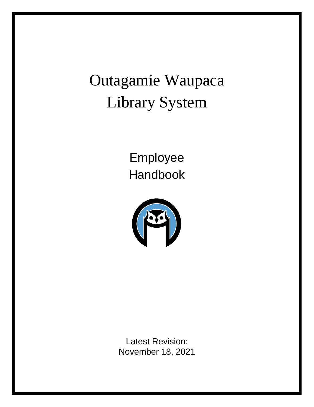# Outagamie Waupaca Library System

Employee Handbook



Latest Revision: November 18, 2021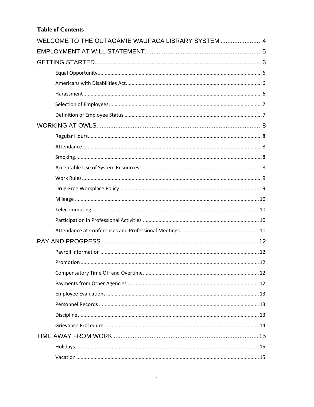# **Table of Contents**

| WELCOME TO THE OUTAGAMIE WAUPACA LIBRARY SYSTEM  4 |  |
|----------------------------------------------------|--|
|                                                    |  |
|                                                    |  |
|                                                    |  |
|                                                    |  |
|                                                    |  |
|                                                    |  |
|                                                    |  |
|                                                    |  |
|                                                    |  |
|                                                    |  |
|                                                    |  |
|                                                    |  |
|                                                    |  |
|                                                    |  |
|                                                    |  |
|                                                    |  |
|                                                    |  |
|                                                    |  |
|                                                    |  |
|                                                    |  |
|                                                    |  |
|                                                    |  |
|                                                    |  |
|                                                    |  |
|                                                    |  |
|                                                    |  |
|                                                    |  |
|                                                    |  |
|                                                    |  |
|                                                    |  |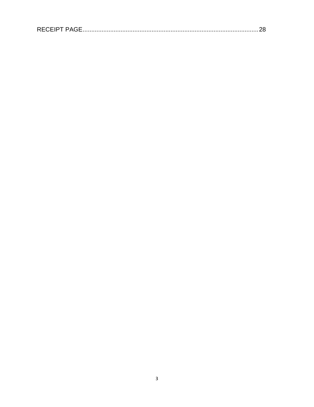|--|--|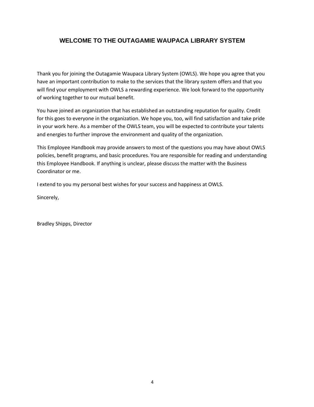# <span id="page-4-0"></span>**WELCOME TO THE OUTAGAMIE WAUPACA LIBRARY SYSTEM**

Thank you for joining the Outagamie Waupaca Library System (OWLS). We hope you agree that you have an important contribution to make to the services that the library system offers and that you will find your employment with OWLS a rewarding experience. We look forward to the opportunity of working together to our mutual benefit.

You have joined an organization that has established an outstanding reputation for quality. Credit for this goes to everyone in the organization. We hope you, too, will find satisfaction and take pride in your work here. As a member of the OWLS team, you will be expected to contribute your talents and energies to further improve the environment and quality of the organization.

This Employee Handbook may provide answers to most of the questions you may have about OWLS policies, benefit programs, and basic procedures. You are responsible for reading and understanding this Employee Handbook. If anything is unclear, please discuss the matter with the Business Coordinator or me.

I extend to you my personal best wishes for your success and happiness at OWLS.

Sincerely,

Bradley Shipps, Director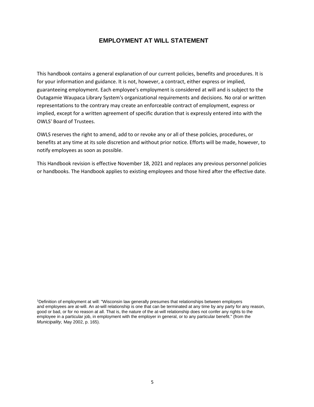# **EMPLOYMENT AT WILL STATEMENT**

<span id="page-5-0"></span>This handbook contains a general explanation of our current policies, benefits and procedures. It is for your information and guidance. It is not, however, a contract, either express or implied, guaranteeing employment. Each employee's employment is considered at will and is subject to the Outagamie Waupaca Library System's organizational requirements and decisions. No oral or written representations to the contrary may create an enforceable contract of employment, express or implied, except for a written agreement of specific duration that is expressly entered into with the OWLS' Board of Trustees.

OWLS reserves the right to amend, add to or revoke any or all of these policies, procedures, or benefits at any time at its sole discretion and without prior notice. Efforts will be made, however, to notify employees as soon as possible.

This Handbook revision is effective November 18, 2021 and replaces any previous personnel policies or handbooks. The Handbook applies to existing employees and those hired after the effective date.

<sup>1</sup>Definition of employment at will: "Wisconsin law generally presumes that relationships between employers and employees are at-will. An at-will relationship is one that can be terminated at any time by any party for any reason, good or bad, or for no reason at all. That is, the nature of the at-will relationship does not confer any rights to the employee in a particular job, in employment with the employer in general, or to any particular benefit." (from the *Municipality,* May 2002, p. 165).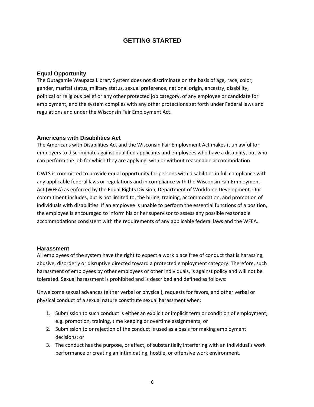# **GETTING STARTED**

# <span id="page-6-1"></span><span id="page-6-0"></span>**Equal Opportunity**

The Outagamie Waupaca Library System does not discriminate on the basis of age*,* race, color*,*  gender, marital status, military status, sexual preference, national origin, ancestry, disability, political or religious belief or any other protected job category, of any employee or candidate for employment, and the system complies with any other protections set forth under Federal laws and regulations and under the Wisconsin Fair Employment Act.

#### <span id="page-6-2"></span>**Americans with Disabilities Act**

The Americans with Disabilities Act and the Wisconsin Fair Employment Act makes it unlawful for employers to discriminate against qualified applicants and employees who have a disability, but who can perform the job for which they are applying, with or without reasonable accommodation.

OWLS is committed to provide equal opportunity for persons with disabilities in full compliance with any applicable federal laws or regulations and in compliance with the Wisconsin Fair Employment Act (WFEA) as enforced by the Equal Rights Division, Department of Workforce Development. Our commitment includes, but is not limited to, the hiring, training, accommodation, and promotion of individuals with disabilities. If an employee is unable to perform the essential functions of a position, the employee is encouraged to inform his or her supervisor to assess any possible reasonable accommodations consistent with the requirements of any applicable federal laws and the WFEA.

#### <span id="page-6-3"></span>**Harassment**

All employees of the system have the right to expect a work place free of conduct that is harassing, abusive, disorderly or disruptive directed toward a protected employment category. Therefore, such harassment of employees by other employees or other individuals, is against policy and will not be tolerated. Sexual harassment is prohibited and is described and defined as follows:

Unwelcome sexual advances (either verbal or physical), requests for favors, and other verbal or physical conduct of a sexual nature constitute sexual harassment when:

- 1. Submission to such conduct is either an explicit or implicit term or condition of employment; e.g. promotion, training, time keeping or overtime assignments; or
- 2. Submission to or rejection of the conduct is used as a basis for making employment decisions; or
- 3. The conduct has the purpose, or effect, of substantially interfering with an individual's work performance or creating an intimidating, hostile, or offensive work environment.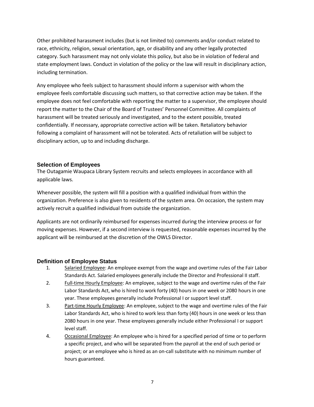Other prohibited harassment includes (but is not limited to) comments and/or conduct related to race, ethnicity, religion, sexual orientation, age, or disability and any other legally protected category. Such harassment may not only violate this policy, but also be in violation of federal and state employment laws. Conduct in violation of the policy or the law will result in disciplinary action, including termination.

Any employee who feels subject to harassment should inform a supervisor with whom the employee feels comfortable discussing such matters, so that corrective action may be taken. If the employee does not feel comfortable with reporting the matter to a supervisor, the employee should report the matter to the Chair of the Board of Trustees' Personnel Committee. All complaints of harassment will be treated seriously and investigated, and to the extent possible, treated confidentially. If necessary, appropriate corrective action will be taken. Retaliatory behavior following a complaint of harassment will not be tolerated. Acts of retaliation will be subject to disciplinary action, up to and including discharge.

# <span id="page-7-0"></span>**Selection of Employees**

The Outagamie Waupaca Library System recruits and selects employees in accordance with all applicable laws.

Whenever possible, the system will fill a position with a qualified individual from within the organization. Preference is also given to residents of the system area. On occasion, the system may actively recruit a qualified individual from outside the organization.

Applicants are not ordinarily reimbursed for expenses incurred during the interview process or for moving expenses. However, if a second interview is requested, reasonable expenses incurred by the applicant will be reimbursed at the discretion of the OWLS Director.

# <span id="page-7-1"></span>**Definition of Employee Status**

- 1. Salaried Employee: An employee exempt from the wage and overtime rules of the Fair Labor Standards Act. Salaried employees generally include the Director and Professional II staff.
- 2. Full-time Hourly Employee: An employee, subject to the wage and overtime rules of the Fair Labor Standards Act, who is hired to work forty (40) hours in one week or 2080 hours in one year. These employees generally include Professional I or support level staff.
- 3. Part-time Hourly Employee: An employee, subject to the wage and overtime rules of the Fair Labor Standards Act, who is hired to work less than forty (40) hours in one week or less than 2080 hours in one year. These employees generally include either Professional I or support level staff.
- 4. Occasional Employee: An employee who is hired for a specified period of time or to perform a specific project, and who will be separated from the payroll at the end of such period or project; or an employee who is hired as an on-call substitute with no minimum number of hours guaranteed.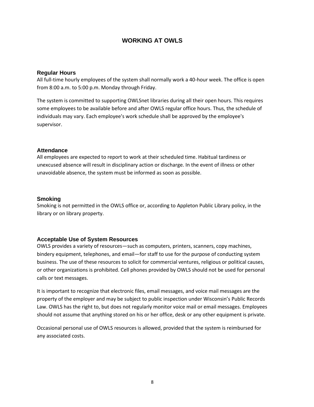# **WORKING AT OWLS**

#### <span id="page-8-1"></span><span id="page-8-0"></span>**Regular Hours**

All full-time hourly employees of the system shall normally work a 40-hour week. The office is open from 8:00 a.m. to 5:00 p.m. Monday through Friday.

The system is committed to supporting OWLSnet libraries during all their open hours. This requires some employees to be available before and after OWLS regular office hours. Thus, the schedule of individuals may vary. Each employee's work schedule shall be approved by the employee's supervisor.

# <span id="page-8-2"></span>**Attendance**

All employees are expected to report to work at their scheduled time. Habitual tardiness or unexcused absence will result in disciplinary action or discharge. In the event of illness or other unavoidable absence, the system must be informed as soon as possible.

# <span id="page-8-3"></span>**Smoking**

Smoking is not permitted in the OWLS office or, according to Appleton Public Library policy, in the library or on library property.

# <span id="page-8-4"></span>**Acceptable Use of System Resources**

OWLS provides a variety of resources—such as computers, printers, scanners, copy machines, bindery equipment, telephones, and email—for staff to use for the purpose of conducting system business. The use of these resources to solicit for commercial ventures, religious or political causes, or other organizations is prohibited. Cell phones provided by OWLS should not be used for personal calls or text messages.

It is important to recognize that electronic files, email messages, and voice mail messages are the property of the employer and may be subject to public inspection under Wisconsin's Public Records Law. OWLS has the right to, but does not regularly monitor voice mail or email messages. Employees should not assume that anything stored on his or her office, desk or any other equipment is private.

Occasional personal use of OWLS resources is allowed, provided that the system is reimbursed for any associated costs.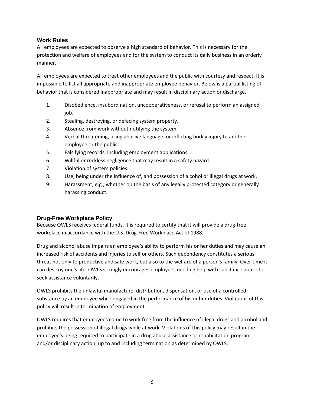# <span id="page-9-0"></span>**Work Rules**

All employees are expected to observe a high standard of behavior. This is necessary for the protection and welfare of employees and for the system to conduct its daily business in an orderly manner.

All employees are expected to treat other employees and the public with courtesy and respect. It is impossible to list all appropriate and inappropriate employee behavior. Below is a partial listing of behavior that is considered inappropriate and may result in disciplinary action or discharge.

- 1. Disobedience, insubordination, uncooperativeness, or refusal to perform an assigned job.
- 2. Stealing, destroying, or defacing system property.
- 3. Absence from work without notifying the system.
- 4. Verbal threatening, using abusive language, or inflicting bodily injury to another employee or the public.
- 5. Falsifying records, including employment applications.
- 6. Willful or reckless negligence that may result in a safety hazard.
- 7. Violation of system policies.
- 8. Use, being under the influence of, and possession of alcohol or illegal drugs at work.
- 9. Harassment, e.g., whether on the basis of any legally protected category or generally harassing conduct.

# <span id="page-9-1"></span>**Drug-Free Workplace Policy**

Because OWLS receives federal funds, it is required to certify that it will provide a drug-free workplace in accordance with the U.S. Drug-Free Workplace Act of 1988.

Drug and alcohol abuse impairs an employee's ability to perform his or her duties and may cause an increased risk of accidents and injuries to self or others. Such dependency constitutes a serious threat not only to productive and safe work, but also to the welfare of a person's family. Over time it can destroy one's life. OWLS strongly encourages employees needing help with substance abuse to seek assistance voluntarily.

OWLS prohibits the unlawful manufacture, distribution, dispensation, or use of a controlled substance by an employee while engaged in the performance of his or her duties. Violations of this policy will result in termination of employment.

OWLS requires that employees come to work free from the influence of illegal drugs and alcohol and prohibits the possession of illegal drugs while at work. Violations of this policy may result in the employee's being required to participate in a drug abuse assistance or rehabilitation program and/or disciplinary action, up to and including termination as determined by OWLS.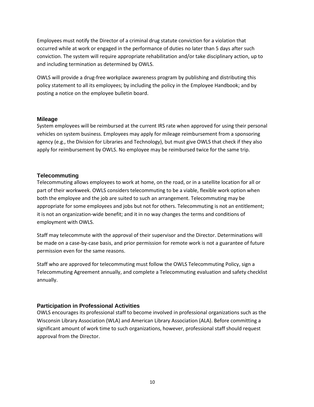Employees must notify the Director of a criminal drug statute conviction for a violation that occurred while at work or engaged in the performance of duties no later than 5 days after such conviction. The system will require appropriate rehabilitation and/or take disciplinary action, up to and including termination as determined by OWLS.

OWLS will provide a drug-free workplace awareness program by publishing and distributing this policy statement to all its employees; by including the policy in the Employee Handbook; and by posting a notice on the employee bulletin board.

#### <span id="page-10-0"></span>**Mileage**

System employees will be reimbursed at the current IRS rate when approved for using their personal vehicles on system business. Employees may apply for mileage reimbursement from a sponsoring agency (e.g., the Division for Libraries and Technology), but must give OWLS that check if they also apply for reimbursement by OWLS. No employee may be reimbursed twice for the same trip.

#### <span id="page-10-1"></span>**Telecommuting**

Telecommuting allows employees to work at home, on the road, or in a satellite location for all or part of their workweek. OWLS considers telecommuting to be a viable, flexible work option when both the employee and the job are suited to such an arrangement. Telecommuting may be appropriate for some employees and jobs but not for others. Telecommuting is not an entitlement; it is not an organization-wide benefit; and it in no way changes the terms and conditions of employment with OWLS.

Staff may telecommute with the approval of their supervisor and the Director. Determinations will be made on a case-by-case basis, and prior permission for remote work is not a guarantee of future permission even for the same reasons.

Staff who are approved for telecommuting must follow the OWLS Telecommuting Policy, sign a Telecommuting Agreement annually, and complete a Telecommuting evaluation and safety checklist annually.

#### <span id="page-10-2"></span>**Participation in Professional Activities**

OWLS encourages its professional staff to become involved in professional organizations such as the Wisconsin Library Association (WLA) and American Library Association (ALA). Before committing a significant amount of work time to such organizations, however, professional staff should request approval from the Director.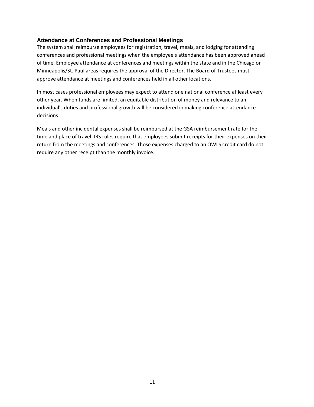# <span id="page-11-0"></span>**Attendance at Conferences and Professional Meetings**

The system shall reimburse employees for registration, travel, meals, and lodging for attending conferences and professional meetings when the employee's attendance has been approved ahead of time. Employee attendance at conferences and meetings within the state and in the Chicago or Minneapolis/St. Paul areas requires the approval of the Director. The Board of Trustees must approve attendance at meetings and conferences held in all other locations.

In most cases professional employees may expect to attend one national conference at least every other year. When funds are limited, an equitable distribution of money and relevance to an individual's duties and professional growth will be considered in making conference attendance decisions.

Meals and other incidental expenses shall be reimbursed at the GSA reimbursement rate for the time and place of travel. IRS rules require that employees submit receipts for their expenses on their return from the meetings and conferences. Those expenses charged to an OWLS credit card do not require any other receipt than the monthly invoice.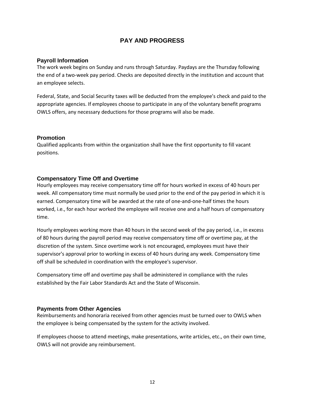# **PAY AND PROGRESS**

# <span id="page-12-1"></span><span id="page-12-0"></span>**Payroll Information**

The work week begins on Sunday and runs through Saturday. Paydays are the Thursday following the end of a two-week pay period. Checks are deposited directly in the institution and account that an employee selects.

Federal, State, and Social Security taxes will be deducted from the employee's check and paid to the appropriate agencies. If employees choose to participate in any of the voluntary benefit programs OWLS offers, any necessary deductions for those programs will also be made.

# <span id="page-12-2"></span>**Promotion**

Qualified applicants from within the organization shall have the first opportunity to fill vacant positions.

# <span id="page-12-3"></span>**Compensatory Time Off and Overtime**

Hourly employees may receive compensatory time off for hours worked in excess of 40 hours per week. All compensatory time must normally be used prior to the end of the pay period in which it is earned. Compensatory time will be awarded at the rate of one-and-one-half times the hours worked, i.e., for each hour worked the employee will receive one and a half hours of compensatory time.

Hourly employees working more than 40 hours in the second week of the pay period, i.e., in excess of 80 hours during the payroll period may receive compensatory time off or overtime pay, at the discretion of the system. Since overtime work is not encouraged, employees must have their supervisor's approval prior to working in excess of 40 hours during any week. Compensatory time off shall be scheduled in coordination with the employee's supervisor.

Compensatory time off and overtime pay shall be administered in compliance with the rules established by the Fair Labor Standards Act and the State of Wisconsin.

#### <span id="page-12-4"></span>**Payments from Other Agencies**

Reimbursements and honoraria received from other agencies must be turned over to OWLS when the employee is being compensated by the system for the activity involved.

If employees choose to attend meetings, make presentations, write articles, etc., on their own time, OWLS will not provide any reimbursement.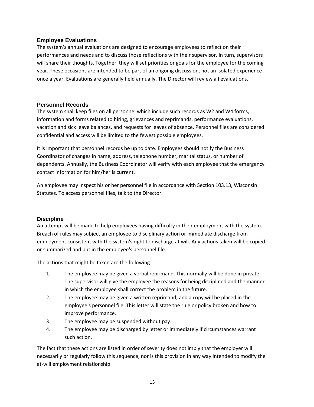# <span id="page-13-0"></span>**Employee Evaluations**

The system's annual evaluations are designed to encourage employees to reflect on their performances and needs and to discuss those reflections with their supervisor. In turn, supervisors will share their thoughts. Together, they will set priorities or goals for the employee for the coming year. These occasions are intended to be part of an ongoing discussion, not an isolated experience once a year. Evaluations are generally held annually. The Director will review all evaluations.

# <span id="page-13-1"></span>**Personnel Records**

The system shall keep files on all personnel which include such records as W2 and W4 forms, information and forms related to hiring, grievances and reprimands, performance evaluations, vacation and sick leave balances, and requests for leaves of absence. Personnel files are considered confidential and access will be limited to the fewest possible employees.

It is important that personnel records be up to date. Employees should notify the Business Coordinator of changes in name, address, telephone number, marital status, or number of dependents. Annually, the Business Coordinator will verify with each employee that the emergency contact information for him/her is current.

An employee may inspect his or her personnel file in accordance with Section 103.13, Wisconsin Statutes. To access personnel files, talk to the Director.

#### <span id="page-13-2"></span>**Discipline**

An attempt will be made to help employees having difficulty in their employment with the system. Breach of rules may subject an employee to disciplinary action or immediate discharge from employment consistent with the system's right to discharge at will. Any actions taken will be copied or summarized and put in the employee's personnel file.

The actions that might be taken are the following:

- 1. The employee may be given a verbal reprimand. This normally will be done in private. The supervisor will give the employee the reasons for being disciplined and the manner in which the employee shall correct the problem in the future.
- 2. The employee may be given a written reprimand, and a copy will be placed in the employee's personnel file. This letter will state the rule or policy broken and how to improve performance.
- 3. The employee may be suspended without pay.
- 4. The employee may be discharged by letter or immediately if circumstances warrant such action.

The fact that these actions are listed in order of severity does not imply that the employer will necessarily or regularly follow this sequence, nor is this provision in any way intended to modify the at-will employment relationship.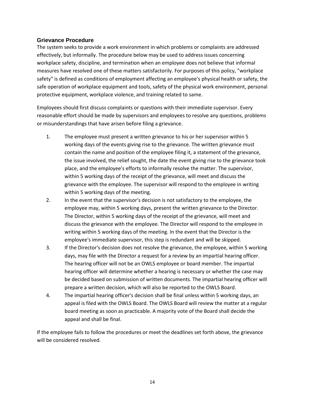# <span id="page-14-0"></span>**Grievance Procedure**

The system seeks to provide a work environment in which problems or complaints are addressed effectively, but informally. The procedure below may be used to address issues concerning workplace safety, discipline, and termination when an employee does not believe that informal measures have resolved one of these matters satisfactorily. For purposes of this policy, "workplace safety" is defined as conditions of employment affecting an employee's physical health or safety, the safe operation of workplace equipment and tools, safety of the physical work environment, personal protective equipment, workplace violence, and training related to same.

Employees should first discuss complaints or questions with their immediate supervisor. Every reasonable effort should be made by supervisors and employees to resolve any questions, problems or misunderstandings that have arisen before filing a grievance.

- 1. The employee must present a written grievance to his or her supervisor within 5 working days of the events giving rise to the grievance. The written grievance must contain the name and position of the employee filing it, a statement of the grievance, the issue involved, the relief sought, the date the event giving rise to the grievance took place, and the employee's efforts to informally resolve the matter. The supervisor, within 5 working days of the receipt of the grievance, will meet and discuss the grievance with the employee. The supervisor will respond to the employee in writing within 5 working days of the meeting.
- 2. In the event that the supervisor's decision is not satisfactory to the employee, the employee may, within 5 working days, present the written grievance to the Director. The Director, within 5 working days of the receipt of the grievance, will meet and discuss the grievance with the employee. The Director will respond to the employee in writing within 5 working days of the meeting. In the event that the Director is the employee's immediate supervisor, this step is redundant and will be skipped.
- 3. If the Director's decision does not resolve the grievance, the employee, within 5 working days, may file with the Director a request for a review by an impartial hearing officer. The hearing officer will not be an OWLS employee or board member. The impartial hearing officer will determine whether a hearing is necessary or whether the case may be decided based on submission of written documents. The impartial hearing officer will prepare a written decision, which will also be reported to the OWLS Board.
- 4. The impartial hearing officer's decision shall be final unless within 5 working days, an appeal is filed with the OWLS Board. The OWLS Board will review the matter at a regular board meeting as soon as practicable. A majority vote of the Board shall decide the appeal and shall be final.

If the employee fails to follow the procedures or meet the deadlines set forth above, the grievance will be considered resolved.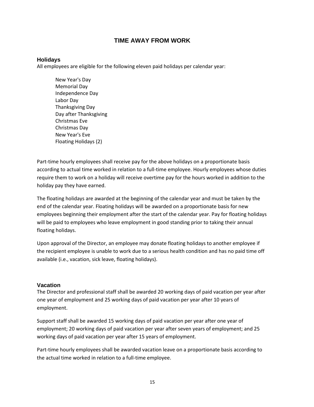# **TIME AWAY FROM WORK**

#### <span id="page-15-1"></span><span id="page-15-0"></span>**Holidays**

All employees are eligible for the following eleven paid holidays per calendar year:

New Year's Day Memorial Day Independence Day Labor Day Thanksgiving Day Day after Thanksgiving Christmas Eve Christmas Day New Year's Eve Floating Holidays (2)

Part-time hourly employees shall receive pay for the above holidays on a proportionate basis according to actual time worked in relation to a full-time employee. Hourly employees whose duties require them to work on a holiday will receive overtime pay for the hours worked in addition to the holiday pay they have earned.

The floating holidays are awarded at the beginning of the calendar year and must be taken by the end of the calendar year. Floating holidays will be awarded on a proportionate basis for new employees beginning their employment after the start of the calendar year. Pay for floating holidays will be paid to employees who leave employment in good standing prior to taking their annual floating holidays.

Upon approval of the Director, an employee may donate floating holidays to another employee if the recipient employee is unable to work due to a serious health condition and has no paid time off available (i.e., vacation, sick leave, floating holidays).

#### <span id="page-15-2"></span>**Vacation**

The Director and professional staff shall be awarded 20 working days of paid vacation per year after one year of employment and 25 working days of paid vacation per year after 10 years of employment.

Support staff shall be awarded 15 working days of paid vacation per year after one year of employment; 20 working days of paid vacation per year after seven years of employment; and 25 working days of paid vacation per year after 15 years of employment.

Part-time hourly employees shall be awarded vacation leave on a proportionate basis according to the actual time worked in relation to a full-time employee.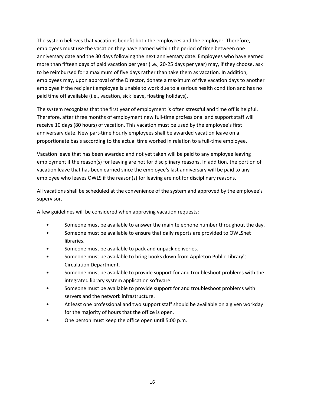The system believes that vacations benefit both the employees and the employer. Therefore, employees must use the vacation they have earned within the period of time between one anniversary date and the 30 days following the next anniversary date. Employees who have earned more than fifteen days of paid vacation per year (i.e., 20-25 days per year) may, if they choose, ask to be reimbursed for a maximum of five days rather than take them as vacation. In addition, employees may, upon approval of the Director, donate a maximum of five vacation days to another employee if the recipient employee is unable to work due to a serious health condition and has no paid time off available (i.e., vacation, sick leave, floating holidays).

The system recognizes that the first year of employment is often stressful and time off is helpful. Therefore, after three months of employment new full-time professional and support staff will receive 10 days (80 hours) of vacation. This vacation must be used by the employee's first anniversary date. New part-time hourly employees shall be awarded vacation leave on a proportionate basis according to the actual time worked in relation to a full-time employee.

Vacation leave that has been awarded and not yet taken will be paid to any employee leaving employment if the reason(s) for leaving are not for disciplinary reasons. In addition, the portion of vacation leave that has been earned since the employee's last anniversary will be paid to any employee who leaves OWLS if the reason(s) for leaving are not for disciplinary reasons.

All vacations shall be scheduled at the convenience of the system and approved by the employee's supervisor.

A few guidelines will be considered when approving vacation requests:

- Someone must be available to answer the main telephone number throughout the day.
- Someone must be available to ensure that daily reports are provided to OWLSnet libraries.
- Someone must be available to pack and unpack deliveries.
- Someone must be available to bring books down from Appleton Public Library's Circulation Department.
- Someone must be available to provide support for and troubleshoot problems with the integrated library system application software.
- Someone must be available to provide support for and troubleshoot problems with servers and the network infrastructure.
- At least one professional and two support staff should be available on a given workday for the majority of hours that the office is open.
- One person must keep the office open until 5:00 p.m.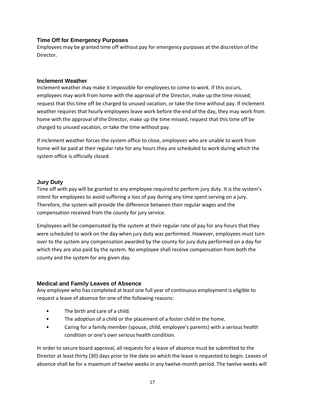# <span id="page-17-0"></span>**Time Off for Emergency Purposes**

Employees may be granted time off without pay for emergency purposes at the discretion of the Director.

# <span id="page-17-1"></span>**Inclement Weather**

Inclement weather may make it impossible for employees to come to work. If this occurs, employees may work from home with the approval of the Director, make up the time missed, request that this time off be charged to unused vacation, or take the time without pay. If inclement weather requires that hourly employees leave work before the end of the day, they may work from home with the approval of the Director, make up the time missed, request that this time off be charged to unused vacation, or take the time without pay.

If inclement weather forces the system office to close, employees who are unable to work from home will be paid at their regular rate for any hours they are scheduled to work during which the system office is officially closed.

# <span id="page-17-2"></span>**Jury Duty**

Time off with pay will be granted to any employee required to perform jury duty. It is the system's intent for employees to avoid suffering a loss of pay during any time spent serving on a jury. Therefore, the system will provide the difference between their regular wages and the compensation received from the county for jury service.

Employees will be compensated by the system at their regular rate of pay for any hours that they were scheduled to work on the day when jury duty was performed. However, employees must turn over to the system any compensation awarded by the county for jury duty performed on a day for which they are also paid by the system. No employee shall receive compensation from both the county and the system for any given day.

# <span id="page-17-3"></span>**Medical and Family Leaves of Absence**

Any employee who has completed at least one full year of continuous employment is eligible to request a leave of absence for one of the following reasons:

- The birth and care of a child.
- The adoption of a child or the placement of a foster child in the home.
- Caring for a family member (spouse, child, employee's parents) with a serious health condition or one's own serious health condition.

In order to secure board approval, all requests for a leave of absence must be submitted to the Director at least thirty (30) days prior to the date on which the leave is requested to begin. Leaves of absence shall be for a maximum of twelve weeks in any twelve-month period. The twelve weeks will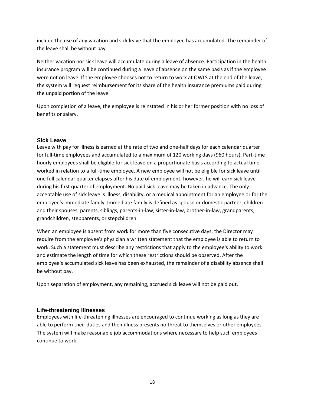include the use of any vacation and sick leave that the employee has accumulated. The remainder of the leave shall be without pay.

Neither vacation nor sick leave will accumulate during a leave of absence. Participation in the health insurance program will be continued during a leave of absence on the same basis as if the employee were not on leave. If the employee chooses not to return to work at OWLS at the end of the leave, the system will request reimbursement for its share of the health insurance premiums paid during the unpaid portion of the leave.

Upon completion of a leave, the employee is reinstated in his or her former position with no loss of benefits or salary.

#### <span id="page-18-0"></span>**Sick Leave**

Leave with pay for illness is earned at the rate of two and one-half days for each calendar quarter for full-time employees and accumulated to a maximum of 120 working days (960 hours). Part-time hourly employees shall be eligible for sick leave on a proportionate basis according to actual time worked in relation to a full-time employee. A new employee will not be eligible for sick leave until one full calendar quarter elapses after his date of employment; however, he will earn sick leave during his first quarter of employment. No paid sick leave may be taken in advance. The only acceptable use of sick leave is illness, disability, or a medical appointment for an employee or for the employee's immediate family. Immediate family is defined as spouse or domestic partner, children and their spouses, parents, siblings, parents-in-law, sister-in-law, brother-in-law, grandparents, grandchildren, stepparents, or stepchildren.

When an employee is absent from work for more than five consecutive days, the Director may require from the employee's physician a written statement that the employee is able to return to work. Such a statement must describe any restrictions that apply to the employee's ability to work and estimate the length of time for which these restrictions should be observed. After the employee's accumulated sick leave has been exhausted, the remainder of a disability absence shall be without pay.

Upon separation of employment, any remaining, accrued sick leave will not be paid out.

#### <span id="page-18-1"></span>**Life-threatening Illnesses**

Employees with life-threatening illnesses are encouraged to continue working as long as they are able to perform their duties and their illness presents no threat to themselves or other employees. The system will make reasonable job accommodations where necessary to help such employees continue to work.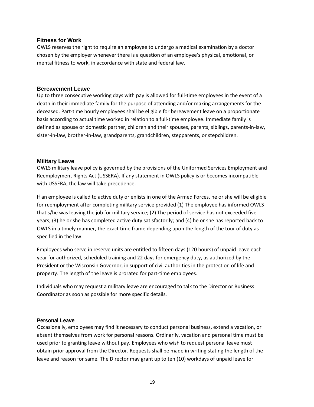#### <span id="page-19-0"></span>**Fitness for Work**

OWLS reserves the right to require an employee to undergo a medical examination by a doctor chosen by the employer whenever there is a question of an employee's physical, emotional, or mental fitness to work, in accordance with state and federal law.

#### <span id="page-19-1"></span>**Bereavement Leave**

Up to three consecutive working days with pay is allowed for full-time employees in the event of a death in their immediate family for the purpose of attending and/or making arrangements for the deceased. Part-time hourly employees shall be eligible for bereavement leave on a proportionate basis according to actual time worked in relation to a full-time employee. Immediate family is defined as spouse or domestic partner, children and their spouses, parents, siblings, parents-in-law, sister-in-law, brother-in-law, grandparents, grandchildren, stepparents, or stepchildren.

# <span id="page-19-2"></span>**Military Leave**

OWLS military leave policy is governed by the provisions of the Uniformed Services Employment and Reemployment Rights Act (USSERA). If any statement in OWLS policy is or becomes incompatible with USSERA, the law will take precedence.

If an employee is called to active duty or enlists in one of the Armed Forces, he or she will be eligible for reemployment after completing military service provided (1) The employee has informed OWLS that s/he was leaving the job for military service; (2) The period of service has not exceeded five years; (3) he or she has completed active duty satisfactorily; and (4) he or she has reported back to OWLS in a timely manner, the exact time frame depending upon the length of the tour of duty as specified in the law.

Employees who serve in reserve units are entitled to fifteen days (120 hours) of unpaid leave each year for authorized, scheduled training and 22 days for emergency duty, as authorized by the President or the Wisconsin Governor, in support of civil authorities in the protection of life and property. The length of the leave is prorated for part-time employees.

Individuals who may request a military leave are encouraged to talk to the Director or Business Coordinator as soon as possible for more specific details.

#### <span id="page-19-3"></span>**Personal Leave**

Occasionally, employees may find it necessary to conduct personal business, extend a vacation, or absent themselves from work for personal reasons. Ordinarily, vacation and personal time must be used prior to granting leave without pay. Employees who wish to request personal leave must obtain prior approval from the Director. Requests shall be made in writing stating the length of the leave and reason for same. The Director may grant up to ten (10) workdays of unpaid leave for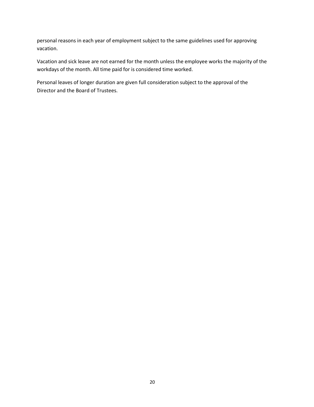personal reasons in each year of employment subject to the same guidelines used for approving vacation.

Vacation and sick leave are not earned for the month unless the employee works the majority of the workdays of the month. All time paid for is considered time worked.

Personal leaves of longer duration are given full consideration subject to the approval of the Director and the Board of Trustees.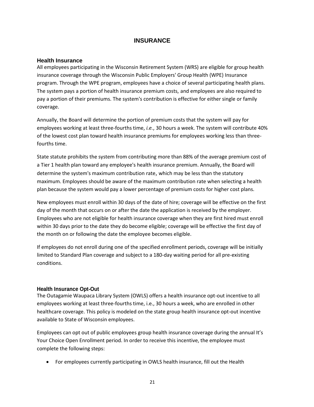# **INSURANCE**

#### <span id="page-21-1"></span><span id="page-21-0"></span>**Health Insurance**

All employees participating in the Wisconsin Retirement System (WRS) are eligible for group health insurance coverage through the Wisconsin Public Employers' Group Health (WPE) Insurance program. Through the WPE program, employees have a choice of several participating health plans. The system pays a portion of health insurance premium costs, and employees are also required to pay a portion of their premiums. The system's contribution is effective for either single or family coverage.

Annually, the Board will determine the portion of premium costs that the system will pay for employees working at least three-fourths time, *i.e.*, 30 hours a week. The system will contribute 40% of the lowest cost plan toward health insurance premiums for employees working less than threefourths time.

State statute prohibits the system from contributing more than 88% of the average premium cost of a Tier 1 health plan toward any employee's health insurance premium. Annually, the Board will determine the system's maximum contribution rate*,* which may be less than the statutory maximum. Employees should be aware of the maximum contribution rate when selecting a health plan because the system would pay a lower percentage of premium costs for higher cost plans.

New employees must enroll within 30 days of the date of hire; coverage will be effective on the first day of the month that occurs on or after the date the application is received by the employer. Employees who are not eligible for health insurance coverage when they are first hired must enroll within 30 days prior to the date they do become eligible; coverage will be effective the first day of the month on or following the date the employee becomes eligible.

If employees do not enroll during one of the specified enrollment periods, coverage will be initially limited to Standard Plan coverage and subject to a 180-day waiting period for all pre-existing conditions.

#### <span id="page-21-2"></span>**Health Insurance Opt-Out**

The Outagamie Waupaca Library System (OWLS) offers a health insurance opt-out incentive to all employees working at least three-fourths time, i.e., 30 hours a week, who are enrolled in other healthcare coverage. This policy is modeled on the state group health insurance opt-out incentive available to State of Wisconsin employees.

Employees can opt out of public employees group health insurance coverage during the annual It's Your Choice Open Enrollment period. In order to receive this incentive, the employee must complete the following steps:

• For employees currently participating in OWLS health insurance, fill out the Health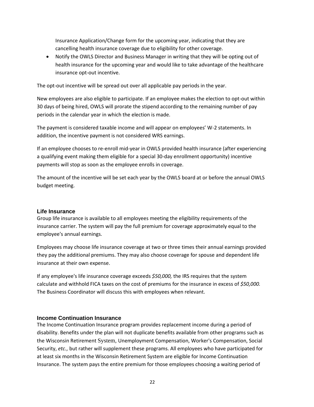Insurance Application/Change form for the upcoming year, indicating that they are cancelling health insurance coverage due to eligibility for other coverage.

• Notify the OWLS Director and Business Manager in writing that they will be opting out of health insurance for the upcoming year and would like to take advantage of the healthcare insurance opt-out incentive.

The opt-out incentive will be spread out over all applicable pay periods in the year.

New employees are also eligible to participate. If an employee makes the election to opt-out within 30 days of being hired, OWLS will prorate the stipend according to the remaining number of pay periods in the calendar year in which the election is made.

The payment is considered taxable income and will appear on employees' W-2 statements. In addition, the incentive payment is not considered WRS earnings.

If an employee chooses to re-enroll mid-year in OWLS provided health insurance (after experiencing a qualifying event making them eligible for a special 30-day enrollment opportunity) incentive payments will stop as soon as the employee enrolls in coverage.

The amount of the incentive will be set each year by the OWLS board at or before the annual OWLS budget meeting.

#### <span id="page-22-0"></span>**Life Insurance**

Group life insurance is available to all employees meeting the eligibility requirements of the insurance carrier. The system will pay the full premium for coverage approximately equal to the employee's annual earnings.

Employees may choose life insurance coverage at two or three times their annual earnings provided they pay the additional premiums. They may also choose coverage for spouse and dependent life insurance at their own expense.

If any employee's life insurance coverage exceeds *\$50,000,* the IRS requires that the system calculate and withhold FICA taxes on the cost of premiums for the insurance in excess of *\$50,000.*  The Business Coordinator will discuss this with employees when relevant.

#### <span id="page-22-1"></span>**Income Continuation Insurance**

The Income Continuation Insurance program provides replacement income during a period of disability. Benefits under the plan will not duplicate benefits available from other programs such as the Wisconsin Retirement System*,* Unemployment Compensation, Worker's Compensation, Social Security, *etc.*, but rather will supplement these programs. All employees who have participated for at least six months in the Wisconsin Retirement System are eligible for Income Continuation Insurance. The system pays the entire premium for those employees choosing a waiting period of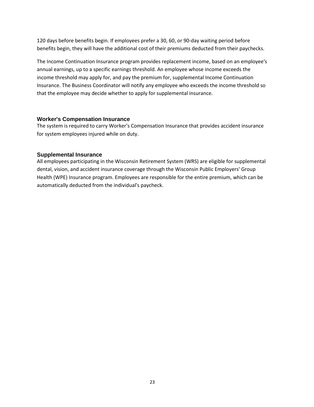120 days before benefits begin. If employees prefer a 30, 60, or 90-day waiting period before benefits begin, they will have the additional cost of their premiums deducted from their paychecks.

The Income Continuation Insurance program provides replacement income, based on an employee's annual earnings, up to a specific earnings threshold. An employee whose income exceeds the income threshold may apply for, and pay the premium for, supplemental Income Continuation Insurance. The Business Coordinator will notify any employee who exceeds the income threshold so that the employee may decide whether to apply for supplemental insurance.

# <span id="page-23-0"></span>**Worker's Compensation Insurance**

The system is required to carry Worker's Compensation Insurance that provides accident insurance for system employees injured while on duty.

# <span id="page-23-1"></span>**Supplemental Insurance**

All employees participating in the Wisconsin Retirement System (WRS) are eligible for supplemental dental, vision, and accident insurance coverage through the Wisconsin Public Employers' Group Health (WPE) Insurance program. Employees are responsible for the entire premium, which can be automatically deducted from the individual's paycheck.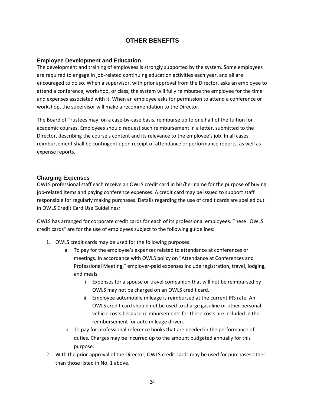# **OTHER BENEFITS**

# <span id="page-24-1"></span><span id="page-24-0"></span>**Employee Development and Education**

The development and training of employees is strongly supported by the system. Some employees are required to engage in job-related continuing education activities each year, and all are encouraged to do so. When a supervisor, with prior approval from the Director, asks an employee to attend a conference, workshop, or class, the system will fully reimburse the employee for the time and expenses associated with it. When an employee asks for permission to attend a conference or workshop, the supervisor will make a recommendation to the Director.

The Board of Trustees may, on a case-by-case basis, reimburse up to one half of the tuition for academic courses. Employees should request such reimbursement in a letter, submitted to the Director, describing the course's content and its relevance to the employee's job. In all cases, reimbursement shall be contingent upon receipt of attendance or performance reports, as well as expense reports.

# <span id="page-24-2"></span>**Charging Expenses**

OWLS professional staff each receive an OWLS credit card in his/her name for the purpose of buying job-related items and paying conference expenses. A credit card may be issued to support staff responsible for regularly making purchases. Details regarding the use of credit cards are spelled out in OWLS Credit Card Use Guidelines*:*

OWLS has arranged for corporate credit cards for each of its professional employees. These "OWLS credit cards" are for the use of employees subject to the following guidelines:

- 1. OWLS credit cards may be used for the following purposes:
	- a. To pay for the employee's expenses related to attendance at conferences or meetings. In accordance with OWLS policy on "Attendance at Conferences and Professional Meeting," employer-paid expenses include registration, travel, lodging, and meals.
		- i. Expenses for a spouse or travel companion that will not be reimbursed by OWLS may not be charged on an OWLS credit card.
		- ii. Employee automobile mileage is reimbursed at the current IRS rate. An OWLS credit card should not be used to charge gasoline or other personal vehicle costs because reimbursements for these costs are included in the reimbursement for auto mileage driven.
	- b. To pay for professional reference books that are needed in the performance of duties. Charges may be incurred up to the amount budgeted annually for this purpose.
- 2. With the prior approval of the Director, OWLS credit cards may be used for purchases other than those listed in No. 1 above.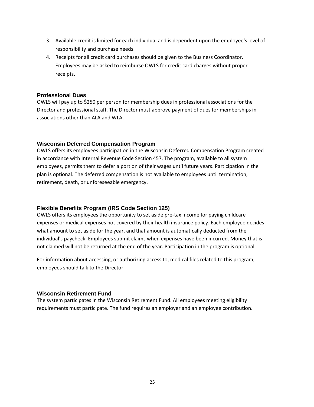- 3. Available credit is limited for each individual and is dependent upon the employee's level of responsibility and purchase needs.
- 4. Receipts for all credit card purchases should be given to the Business Coordinator. Employees may be asked to reimburse OWLS for credit card charges without proper receipts.

# <span id="page-25-0"></span>**Professional Dues**

OWLS will pay up to \$250 per person for membership dues in professional associations for the Director and professional staff. The Director must approve payment of dues for memberships in associations other than ALA and WLA.

# <span id="page-25-1"></span>**Wisconsin Deferred Compensation Program**

OWLS offers its employees participation in the Wisconsin Deferred Compensation Program created in accordance with Internal Revenue Code Section 457. The program, available to all system employees, permits them to defer a portion of their wages until future years. Participation in the plan is optional. The deferred compensation is not available to employees until termination, retirement, death, or unforeseeable emergency.

# <span id="page-25-2"></span>**Flexible Benefits Program (IRS Code Section 125)**

OWLS offers its employees the opportunity to set aside pre-tax income for paying childcare expenses or medical expenses not covered by their health insurance policy. Each employee decides what amount to set aside for the year, and that amount is automatically deducted from the individual's paycheck. Employees submit claims when expenses have been incurred. Money that is not claimed will not be returned at the end of the year. Participation in the program is optional.

For information about accessing, or authorizing access to, medical files related to this program, employees should talk to the Director.

# <span id="page-25-3"></span>**Wisconsin Retirement Fund**

The system participates in the Wisconsin Retirement Fund. All employees meeting eligibility requirements must participate. The fund requires an employer and an employee contribution.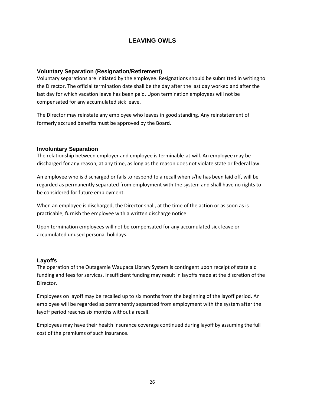# **LEAVING OWLS**

# <span id="page-26-1"></span><span id="page-26-0"></span>**Voluntary Separation (Resignation/Retirement)**

Voluntary separations are initiated by the employee. Resignations should be submitted in writing to the Director. The official termination date shall be the day after the last day worked and after the last day for which vacation leave has been paid. Upon termination employees will not be compensated for any accumulated sick leave.

The Director may reinstate any employee who leaves in good standing. Any reinstatement of formerly accrued benefits must be approved by the Board.

# <span id="page-26-2"></span>**Involuntary Separation**

The relationship between employer and employee is terminable-at-will. An employee may be discharged for any reason, at any time, as long as the reason does not violate state or federal law.

An employee who is discharged or fails to respond to a recall when s/he has been laid off, will be regarded as permanently separated from employment with the system and shall have no rights to be considered for future employment.

When an employee is discharged, the Director shall, at the time of the action or as soon as is practicable, furnish the employee with a written discharge notice.

Upon termination employees will not be compensated for any accumulated sick leave or accumulated unused personal holidays.

# <span id="page-26-3"></span>**Layoffs**

The operation of the Outagamie Waupaca Library System is contingent upon receipt of state aid funding and fees for services. Insufficient funding may result in layoffs made at the discretion of the Director.

Employees on layoff may be recalled up to six months from the beginning of the layoff period. An employee will be regarded as permanently separated from employment with the system after the layoff period reaches six months without a recall.

Employees may have their health insurance coverage continued during layoff by assuming the full cost of the premiums of such insurance.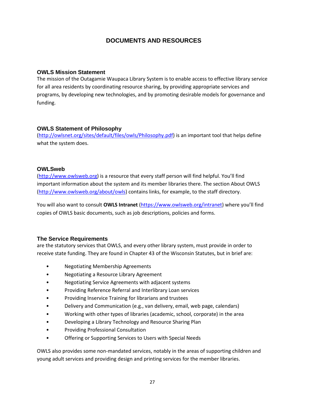# **DOCUMENTS AND RESOURCES**

# <span id="page-27-1"></span><span id="page-27-0"></span>**OWLS Mission Statement**

The mission of the Outagamie Waupaca Library System is to enable access to effective library service for all area residents by coordinating resource sharing, by providing appropriate services and programs, by developing new technologies, and by promoting desirable models for governance and funding.

# <span id="page-27-2"></span>**OWLS Statement of Philosophy**

[\(http://owlsnet.org/sites/default/files/owls/Philosophy.pdf\)](http://owlsnet.org/sites/default/files/owls/Philosophy.pdf) is an important tool that helps define what the system does.

# <span id="page-27-3"></span>**OWLSweb**

[\(http://www.owlsweb.org](http://www.owlsweb.org/)) is a resource that every staff person will find helpful. You'll find important information about the system and its member libraries there. The section About OWLS [\(http://www.owlsweb.org/about/owls\)](http://www.owlsweb.org/about/owls) contains links, for example, to the staff directory.

You will also want to consult **OWLS Intranet** [\(https://www.owlsweb.org/intranet](https://www.owlsweb.org/intranet)) where you'll find copies of OWLS basic documents, such as job descriptions, policies and forms.

# <span id="page-27-4"></span>**The Service Requirements**

are the statutory services that OWLS, and every other library system, must provide in order to receive state funding. They are found in Chapter 43 of the Wisconsin Statutes, but in brief are:

- Negotiating Membership Agreements
- Negotiating a Resource Library Agreement
- Negotiating Service Agreements with adjacent systems
- Providing Reference Referral and Interlibrary Loan services
- Providing lnservice Training for librarians and trustees
- Delivery and Communication (e.g., van delivery, email, web page, calendars)
- Working with other types of libraries (academic, school, corporate) in the area
- Developing a Library Technology and Resource Sharing Plan
- Providing Professional Consultation
- Offering or Supporting Services to Users with Special Needs

OWLS also provides some non-mandated services, notably in the areas of supporting children and young adult services and providing design and printing services for the member libraries.